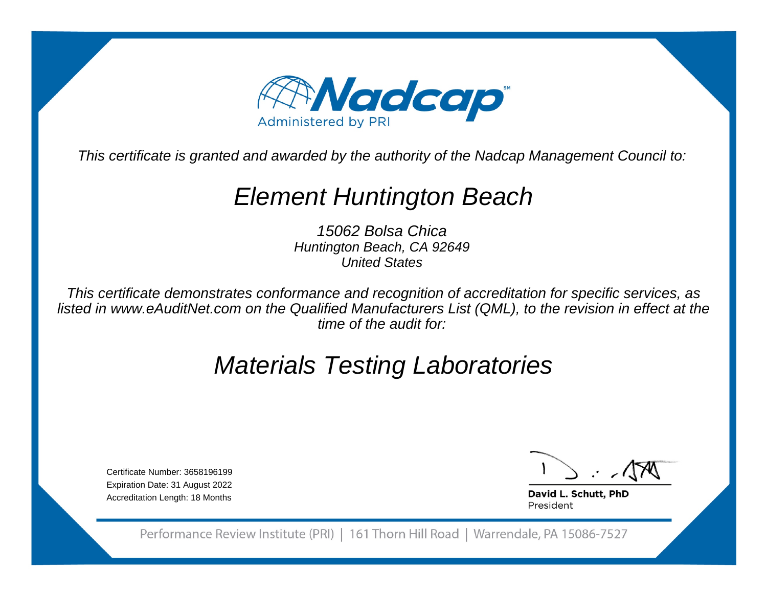

This certificate is granted and awarded by the authority of the Nadcap Management Council to:

# Element Huntington Beach

15062 Bolsa Chica Huntington Beach, CA 92649United States

This certificate demonstrates conformance and recognition of accreditation for specific services, as listed in www.eAuditNet.com on the Qualified Manufacturers List (QML), to the revision in effect at thetime of the audit for:

# Materials Testing Laboratories

Certificate Number: 3658196199 Expiration Date: 31 August 2022Accreditation Length: 18 Months

David L. Schutt, PhD President

Performance Review Institute (PRI) | 161 Thorn Hill Road | Warrendale, PA 15086-7527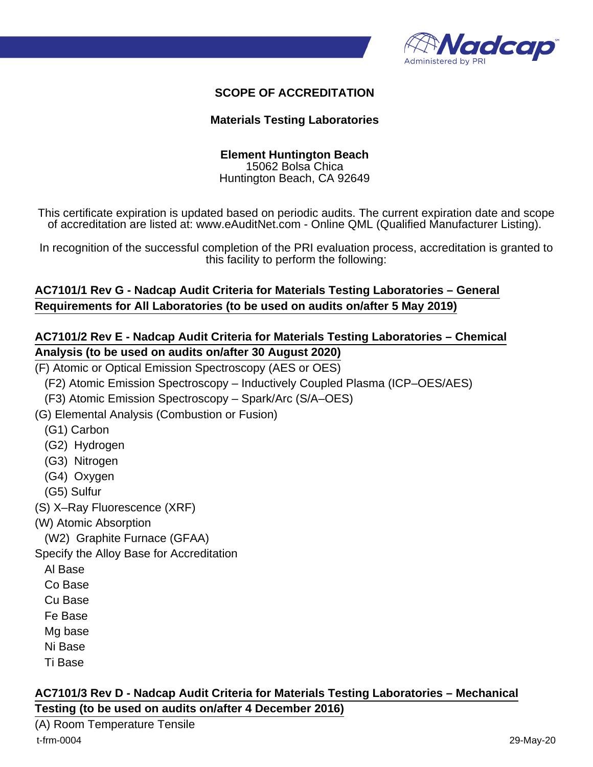

## **SCOPE OF ACCREDITATION**

#### **Materials Testing Laboratories**

## **Element Huntington Beach**

15062 Bolsa Chica Huntington Beach, CA 92649

This certificate expiration is updated based on periodic audits. The current expiration date and scope of accreditation are listed at: www.eAuditNet.com - Online QML (Qualified Manufacturer Listing).

In recognition of the successful completion of the PRI evaluation process, accreditation is granted to this facility to perform the following:

## **AC7101/1 Rev G - Nadcap Audit Criteria for Materials Testing Laboratories – General Requirements for All Laboratories (to be used on audits on/after 5 May 2019)**

## **AC7101/2 Rev E - Nadcap Audit Criteria for Materials Testing Laboratories – Chemical Analysis (to be used on audits on/after 30 August 2020)**

(F) Atomic or Optical Emission Spectroscopy (AES or OES)

(F2) Atomic Emission Spectroscopy – Inductively Coupled Plasma (ICP–OES/AES)

(F3) Atomic Emission Spectroscopy – Spark/Arc (S/A–OES)

(G) Elemental Analysis (Combustion or Fusion)

(G1) Carbon

- (G2) Hydrogen
- (G3) Nitrogen
- (G4) Oxygen
- (G5) Sulfur
- (S) X–Ray Fluorescence (XRF)
- (W) Atomic Absorption

(W2) Graphite Furnace (GFAA)

Specify the Alloy Base for Accreditation

- Al Base
- Co Base
- Cu Base
- Fe Base
- Mg base
- Ni Base
- Ti Base

## **AC7101/3 Rev D - Nadcap Audit Criteria for Materials Testing Laboratories – Mechanical Testing (to be used on audits on/after 4 December 2016)**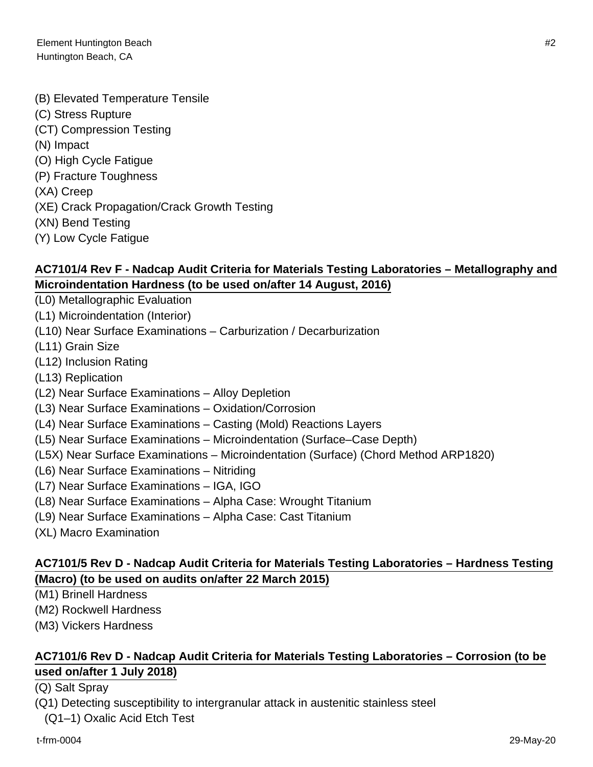(B) Elevated Temperature Tensile (C) Stress Rupture (CT) Compression Testing (N) Impact (O) High Cycle Fatigue (P) Fracture Toughness (XA) Creep (XE) Crack Propagation/Crack Growth Testing (XN) Bend Testing

(Y) Low Cycle Fatigue

## **AC7101/4 Rev F - Nadcap Audit Criteria for Materials Testing Laboratories – Metallography and Microindentation Hardness (to be used on/after 14 August, 2016)**

- (L0) Metallographic Evaluation (L1) Microindentation (Interior) (L10) Near Surface Examinations – Carburization / Decarburization (L11) Grain Size (L12) Inclusion Rating (L13) Replication (L2) Near Surface Examinations – Alloy Depletion (L3) Near Surface Examinations – Oxidation/Corrosion (L4) Near Surface Examinations – Casting (Mold) Reactions Layers (L5) Near Surface Examinations – Microindentation (Surface–Case Depth) (L5X) Near Surface Examinations – Microindentation (Surface) (Chord Method ARP1820) (L6) Near Surface Examinations – Nitriding (L7) Near Surface Examinations – IGA, IGO (L8) Near Surface Examinations – Alpha Case: Wrought Titanium
- (L9) Near Surface Examinations Alpha Case: Cast Titanium
- (XL) Macro Examination

## **AC7101/5 Rev D - Nadcap Audit Criteria for Materials Testing Laboratories – Hardness Testing (Macro) (to be used on audits on/after 22 March 2015)**

- (M1) Brinell Hardness
- (M2) Rockwell Hardness
- (M3) Vickers Hardness

## **AC7101/6 Rev D - Nadcap Audit Criteria for Materials Testing Laboratories – Corrosion (to be used on/after 1 July 2018)**

(Q) Salt Spray

(Q1) Detecting susceptibility to intergranular attack in austenitic stainless steel

(Q1–1) Oxalic Acid Etch Test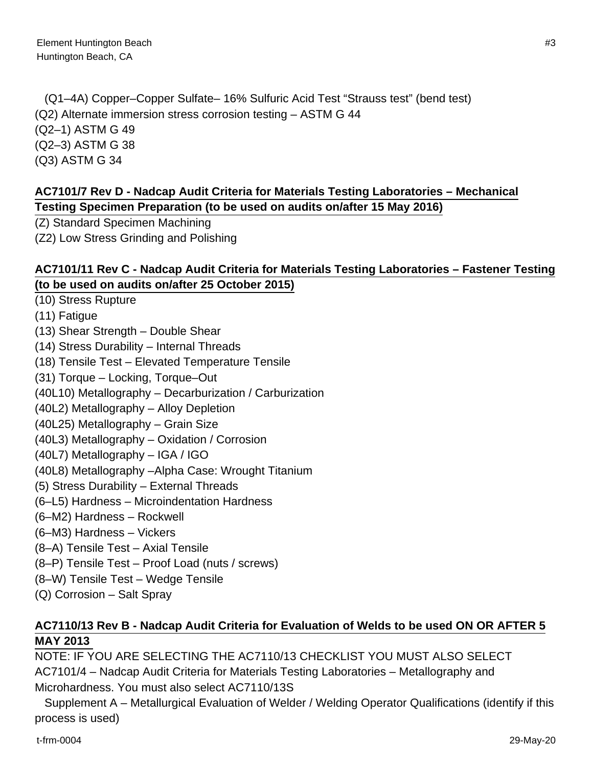(Q1–4A) Copper–Copper Sulfate– 16% Sulfuric Acid Test "Strauss test" (bend test) (Q2) Alternate immersion stress corrosion testing – ASTM G 44 (Q2–1) ASTM G 49 (Q2–3) ASTM G 38 (Q3) ASTM G 34

## **AC7101/7 Rev D - Nadcap Audit Criteria for Materials Testing Laboratories – Mechanical Testing Specimen Preparation (to be used on audits on/after 15 May 2016)**

(Z) Standard Specimen Machining

(Z2) Low Stress Grinding and Polishing

## **AC7101/11 Rev C - Nadcap Audit Criteria for Materials Testing Laboratories – Fastener Testing (to be used on audits on/after 25 October 2015)**

(10) Stress Rupture

- (11) Fatigue
- (13) Shear Strength Double Shear
- (14) Stress Durability Internal Threads
- (18) Tensile Test Elevated Temperature Tensile
- (31) Torque Locking, Torque–Out
- (40L10) Metallography Decarburization / Carburization
- (40L2) Metallography Alloy Depletion
- (40L25) Metallography Grain Size
- (40L3) Metallography Oxidation / Corrosion
- (40L7) Metallography IGA / IGO
- (40L8) Metallography –Alpha Case: Wrought Titanium
- (5) Stress Durability External Threads
- (6–L5) Hardness Microindentation Hardness
- (6–M2) Hardness Rockwell
- (6–M3) Hardness Vickers
- (8–A) Tensile Test Axial Tensile
- (8–P) Tensile Test Proof Load (nuts / screws)
- (8–W) Tensile Test Wedge Tensile
- (Q) Corrosion Salt Spray

## **AC7110/13 Rev B - Nadcap Audit Criteria for Evaluation of Welds to be used ON OR AFTER 5 MAY 2013**

NOTE: IF YOU ARE SELECTING THE AC7110/13 CHECKLIST YOU MUST ALSO SELECT AC7101/4 – Nadcap Audit Criteria for Materials Testing Laboratories – Metallography and Microhardness. You must also select AC7110/13S

 Supplement A – Metallurgical Evaluation of Welder / Welding Operator Qualifications (identify if this process is used)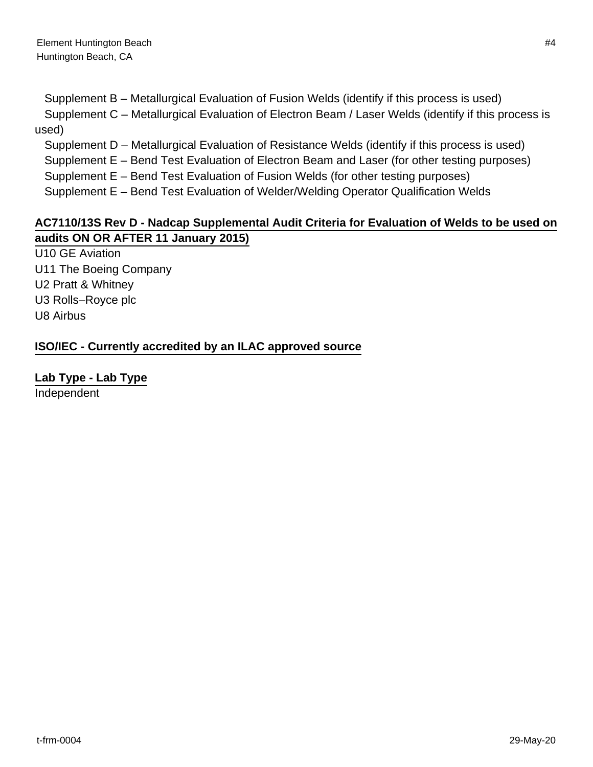Supplement B – Metallurgical Evaluation of Fusion Welds (identify if this process is used)

 Supplement C – Metallurgical Evaluation of Electron Beam / Laser Welds (identify if this process is used)

Supplement D – Metallurgical Evaluation of Resistance Welds (identify if this process is used)

Supplement E – Bend Test Evaluation of Electron Beam and Laser (for other testing purposes)

Supplement E – Bend Test Evaluation of Fusion Welds (for other testing purposes)

Supplement E – Bend Test Evaluation of Welder/Welding Operator Qualification Welds

## **AC7110/13S Rev D - Nadcap Supplemental Audit Criteria for Evaluation of Welds to be used on audits ON OR AFTER 11 January 2015)**

U10 GE Aviation U11 The Boeing Company U2 Pratt & Whitney U3 Rolls–Royce plc U8 Airbus

**ISO/IEC - Currently accredited by an ILAC approved source**

**Lab Type - Lab Type**

Independent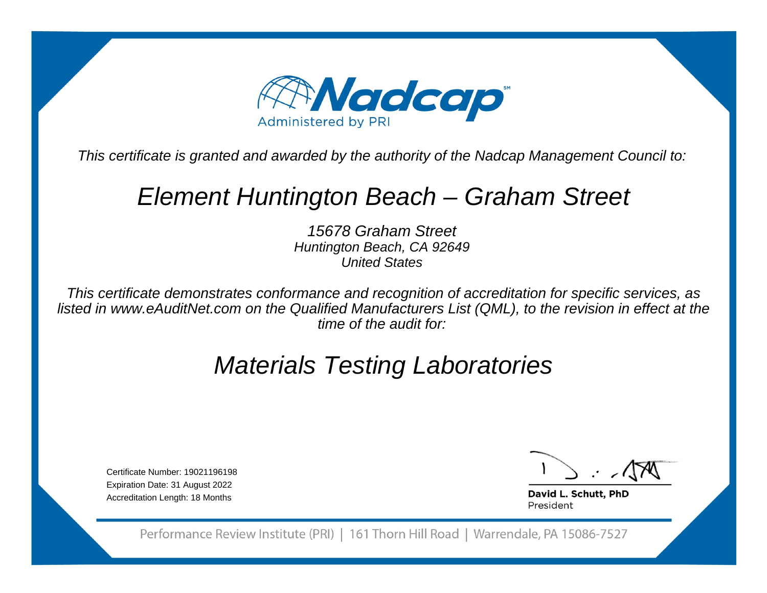

This certificate is granted and awarded by the authority of the Nadcap Management Council to:

## Element Huntington Beach – Graham Street

15678 Graham Street Huntington Beach, CA 92649United States

This certificate demonstrates conformance and recognition of accreditation for specific services, as listed in www.eAuditNet.com on the Qualified Manufacturers List (QML), to the revision in effect at thetime of the audit for:

# Materials Testing Laboratories

Certificate Number: 19021196198 Expiration Date: 31 August 2022Accreditation Length: 18 Months

David L. Schutt, PhD President

Performance Review Institute (PRI) | 161 Thorn Hill Road | Warrendale, PA 15086-7527